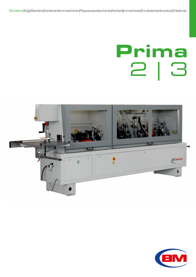Bordatrici | Edge Banders | Kantenanleimmaschinen | Plaqueuses des chants | Kantenlijmmachines | Encoladoras de cantos | Orladoras

# Prima 2 | 3



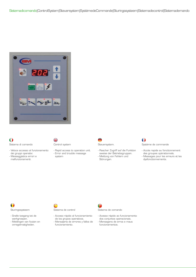

### O Sistema di comando

- Veloce accesso al funzionamento dei gruppi operativi.
- Messaggistica errori e malfunzionamenti.
- ₩ Control system
- Rapid access to operation unit. - Error and trouble message
- system



- Rascher Zugriff auf die Funktion sweise der Betriebsgruppen.
- Meldung von Fehlern und
- Störungen.



- Système de commande
- Accès rapide au fonctionnement des groupes opérationnels.
- Messages pour les erreurs et les dysfonctionnements.

 $\bigcap$ Sturingssysteem

- Snelle toegang tot de
- werkgroepen.
- Meldingen van fouten en onregelmatigheden.

€ Sistema de control

- Acceso rápido al funcionamiento de los grupos operativos.
- Mensajería de errores y fallos de funcionamiento.

Sistema de comando

- Acesso rápido ao funcionamento
- dos conjuntos operacionais. - Mensagens de erros e maus
- funcionamentos.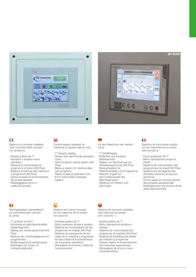



## O

Sistema di comando installato sulle macchine della versione con gruppo **a**.

- Display grafico da 7"
- Semplice e intuitivo menù operativo
- Sistema di memorizzazione programmi di lavoro (Kit Plus)
- Sistema di back-up dati macchina e programmi (Kit Plus)
- Veloce accesso al funzionamento dei gruppi operativi
- Messaggistica errori e malfunzionamenti

## ₩

system

c

Control system installed on machines of version with **a.** unit.

- 7" Graphic display
- Simple and user-friendly operation menu
- Work program saving system (Kit Plus)
- Back-up system of machine data and programs
- Rapid access to operation unit - Error and trouble message

An den Maschinen der Version mit **a**.

- 7" Grafikdisplay
- Einfaches und intuitives
- Betriebsmenü
- System zur Speicherung von Arbeitsprogrammen (Kit Plus)
- Backup-System für Maschinendaten und Programme
- Rascher Zugriff auf
- die Funktionsweise der
- Betriebsgruppen
- Meldung von Fehlern und Störungen

## $\bullet$

Système de commande installé sur les machines de la version avec groupe **a**.

- Écran graphique de 7"
- Menu opérationnel simple et intuitif
- Système de mémorisation des programmes de travail (Kit Plus)
- Système de sauvegarde des données machines et des programmes
- Accès rapide au fonctionnement des groupes opérationnels
- Messages pour les erreurs et les dysfonctionnements

## $\blacksquare$

Sturingssysteem geïnstalleerd op machineversies met een **a**. groep.

- 7" grafisch scherm
- Eenvoudig en gebruiksvriendelijk bedieningsmenu
- Opslag van werkprogramma's (Kit Plus)
- Back-up van machinegegevens en programma's
- Snelle toegang tot werkgroepen - Meldingen van fouten en onregelmatigheden

Sistema de control montado en las máquinas de la versión con grupo **a**.

- Pantalla gráfica de 7"
- Menú operativo simple e intuitivo - Sistema de memorización de los
- programas de trabajo (Kit Plus) - Sistema de salvaguarda de los
- datos de la máquina y programas - Acceso rápido al funcionamiento
- de los grupos operativos
- Mensajería de errores y fallos de funcionamiento

Sistema de comando instalado nas máquinas da versão

- Display gráfico de 7"
- Menu operacional simples e intuitivo
- Sistema de memorização dos programas de trabalho (Kit Plus)
- Sistema de back@up dos dados da máquina e programas
- Acesso rápido ao funcionamento dos conjuntos operacionais
- Mensagens de erros e maus
- funcionamentos

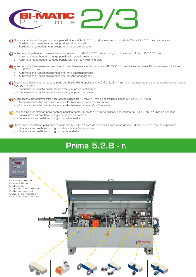

Bordatrici automatiche per bordare pannelli fino a 40/50\*\*\* mm di spessore con bordi da 0,4 a 2/3\*\*\* mm di spessore.

- r. Bordatrici automatiche con gruppo di rettifica pannelli.
- a. Bordatrici automatiche con gruppo arrotondatore di teste.

Automatic edge-bander for work piece thickness up to 40/50\*\*\* mm and edge thickness from 0,4 to 2/3\*\*\* mm.

- r. Automatic edge bander to edge panels with panel pre-milling unit.
- a. Automatic edge bander to edge panels with contour trimming unit.

Automatische Kantenanleimmaschine für das Anleimen von Platten bis zu 40/50\*\*\* mm Stärke und einer Kante mit einer Dicke von 0,4 zu  $2/3***$  mm.

- r. Automatische Kantenanleimmaschine mit Fügefräsaggregat.
- a. Automatische Kantenanleimmaschine mit Abrundaggregat.

Machines à border automatiques pour des bords d'une épaisseur de 0,4 à 2/3\*\*\* mm sur des panneaux d'une épaisseur allant jusqu'à a 40/50\*\*\* mm.

- r. Plaqueuse de chants automatique avec groupe de rectification.
- a. Plaqueuse de chants automatique avec groupe arrondisseur.

Automatische kantenlijmmachine voor werkstukdiktes tot 40/50\*\*\* mm en boorddiktes tussen 0,4 en 2/3\*\*\* mm.

- r. Automatische kantenlijmmachine om panelen te bewerken met voorfreesgroep.
- a. Automatische kantenlijmmachine om panelen te bewerken met afrondfreesgroep.

Encoladoras automáticas para cantear paneles hasta 40/50\*\*\* mm de grueso, con cantos de 0,4 a 2/3\*\*\* mm de espesor. r. - Encoladoras automáticas con grupo toupie en entrada.

a. - Encoladoras automáticas con grupo redondeador.

Orladoras automáticas para orlar painéis até 40/50\*\*\* mm de espessura com orlas desde 0,4 até 2/3\*\*\* mm de espessura.

- r. Orladoras automáticas com grupo de rectificação de painéis.
- a. Orladoras automáticas com grupo arredondador.

## Prima 5.2.B - r.

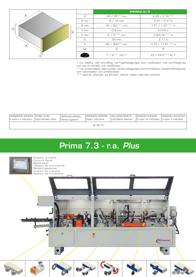

|         | PRIMA 2/3        |                      |  |  |  |
|---------|------------------|----------------------|--|--|--|
| А       | 60 / 95 ** mm    | $2.36 / 3.74***$     |  |  |  |
| B min   | $8/12$ mm        | $0.31 / 0.47$ in     |  |  |  |
| B max   | 40 / 50*** mm    | $1.57 / 1.97***$ in  |  |  |  |
| C min   | $0.4 \text{ mm}$ | 0.016 in             |  |  |  |
| $C$ max | $2/3***$ mm      | $0.8 - 0.12***$ in   |  |  |  |
| $\Box$  | 55 mm            | $2.17$ in            |  |  |  |
| F       | $80 / 300**$ mm  | $3.15 / 11.81$ ** in |  |  |  |
| bar     | 6                | 6                    |  |  |  |
|         | $7 / 9***$ mt/1' | 23 / 29.5 *** ft/1'  |  |  |  |

\* con rettifica, with pre-milling, mit Fügefräsaggregat, avec rectification, met voorfreesgroep, com tupi en entrada, com rectificaçao

\*\* con arrotondatore, with rounder, mit Abrundaggregat, avec arrondisseur, met afrondfreesgroep, com redondeador, com arredondador

\*\*\* optional, optionals, auf Wunsch, options, opties, optionale, opcional

| EMISSIONE SONORA INOISE LEVEL<br>III valore è indicativo | Approximate value | <b>GERÄUSCHPEGEL</b><br>Näherungskiert | EMISSION SONORE<br>Valeur indicative | <b>GELUIDSSTERKTE</b><br>Indicatieve waarde | <b>EMISIÓN SONORA</b><br>El valor es indicativo 10 valor é indicativo | EMISSÃO ACÚSTICA |  |  |  |
|----------------------------------------------------------|-------------------|----------------------------------------|--------------------------------------|---------------------------------------------|-----------------------------------------------------------------------|------------------|--|--|--|
| dh 65-72                                                 |                   |                                        |                                      |                                             |                                                                       |                  |  |  |  |

## Prima 5.2.B - r. Prima 7.3 - r.a. *Plus*

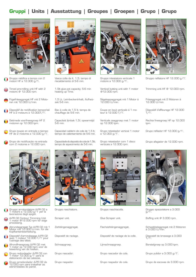## **Gruppi | Units | Ausstattung | Groupes | Groepen | Grupo | Grupo**



Gruppo rettifica a tempo con 2 motori HF a 12.000 g/1.

Timed pre-milling unit HF with 2 ₩ motors @ 12.000 rpm.

- Fügefräsaggregat HF mit 2 Motoren mit 12.000 U/min.
- Dispositif de rectification temporisé HF à 2 moteurs à 12.000T/1'.
- Getimede voorfreesgroep HF 2 motoren op 12.000 tpm.
- Grupo toupie en entrada a tiempo HF de 2 motores a 12.000 g/1'.
- Grupo de rectificação na entrada com 2 motores a 12.000 rpm.



- Gruppo arrotondatore A-PR 02 a 1 motore a 12.000 g/1' per la lavorazione degli spigoli.
- A-PR 02 Contour Trimming Unit 1 motor @12.000 rpm for edge processing.
- Abrundaggregat Typ A-PR 02 mit 1 Motor mit 12.000 U/min. für die Kopfkantenbearbeitung.
- Dispositif d'arrondissage A-PR 02 avec 1 moteur 12.000 T/1' pour l'usinage des têtes.
- Afrondfreesgroep A-PR 02 met 1 motor op 12.000 tpm voor de bewerking van de hoeken.
- Grupo redondeador A-PR 02 con 1 motor 12.000 g/1' para la elaboración de las cabezas.
- Grupo arredondador A-PR 02 de 12.000 rpm para trabalhar as extremidades do painel.



Vasca colla da lt. 1,5; tempo di riscaldamento di 5-6 min.

1,5lt glue pot capacity; 5-6 min heating up Time.

1,5 Lt. Leimbeckeninhalt; Aufheizzeit 5-6 min.

Bac à colle de 1,5 lt; temps de chauffage de 5-6 min.

Capaciteit lijmbak 1,5l; opwarmtijd 5-6 min.

Capacidad calderin de cola de 1,5 lt; tiempo de calientamiento de 5-6 min.

Capacidade do deposito de cola de 1,5lt; tempo de aquecimento de 5-6 min.



Gruppo raschiatore.

Scraper unit.

Ziehklingenaggregat.

Dispositif de raclage.

Schraapgroep.

Grupo rascador.

Grupo raspador.



Gruppo intestatore verticale 1 motore a 12.000 g/1'.

Vertical butting unit with 1 motor @12.000 rpm.

Sägekappaggregat mit 1 Motor á  $12.000$  U/min.

Coupe en bout verticale à 1 moteur à 12.000 T/1'.

Verticale zaaggroep met 1 motor op 12.000 tpm.

Grupo retestador vertical 1 motor a 12.000 g/1'.

Grupo retestador com 1 disco verticais a 12.000 rpm.



Gruppo raschiacolla. Glue Scraper unit. Flachziehklingenaggregat. Dispositif de raclage de la colle.

Lijmschraapgroep.

Grupo rascador de cola.

Grupo raspador de cola.



Gruppo refilatore HF 12.000 g/1'.

Trimming unit HF @ 12.000 rpm.

Fräsaggregat mit 2 Motoren á 12.000 U/min.

Dispositif d'affleurage HF 12.000 T/1'.

Rechte freesgroep HF op 12.000 t.nm.

Grupo refilador HF 12.000 g/1'.

Grupo afagador de 12.000 rpm.



Gruppo spazzolatore a 3.000 g/1'. Buffing unit @ 3.000 rpm. Schwabbelaggregat mit 2 Motoren á 3.000 U/min. Dispositif de brossage à 3.000 T/1'. Borstelgroep op 3.000 tpm. Grupo pulidor a 3.000 g/1'. Grupo de escovas de 3.000 rpm.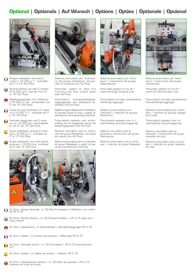## **Optional | Optionals | Auf Wunsch | Options | Opties | Optionale | Opcional**



- Gruppo intestatore verticale 2 motori a 12.000 g/1', inclinabile da O° a 15° (Kit Plus).
- Vertical butting unit with 2 motors €€ @12.000 rpm, chamfer from 0° to 15° (Kit Plus).
- Sägekappaggregat mit 2 Motoren á 12.000 U/min., schwenkbar von 0° bis 15° (Kit Plus).
- Coupe en bout verticale à 2 moteurs à 12.000 T/1', inclinable de 0° à 15° (Kit Plus).
- Verticale zaaggroep met 2 motoren op 12.000 tpm, schuinstelbaar van 0° tot 15° (Kit Plus).
- Grupo retestador vertical 2 motores a 12.000 g/1', inclinable de 0° a 15° (Kit Plus).
- Grupo retestador com dois discos verticais a 12.000 rpm, inclinável de 0° até 15° (Kit Plus).



Sistema pneumatico per l'inclinazione del gruppo Intestatore, dal pannello di comando (con Kit Plus).

Pneumatic system to slant End Trimming Unit from control panel (with Kit Plus).

Pneumatisch schwenkbaresKappsägeaggregat, vom Bedienpult anwählbar (mit Kit Plus).

Système pneumatique pour l'inclinaison du groupe Coupe en bout, à partir du panneau de commande (avec Kit Plus).

Pneumatisch systeem voor schuinstelling van de zaaggroep vanop het bedieningspaneel (met Kit Plus).

Sistema neumático para la inclinación del grupo Retestador, del panel de mando (con Kit Plus).

Sistema pneumático para a inclinação do grupo Retestador, a partir do painel de comando (com Kit Plus).



- Kit 3mm: Cesoia Verticale, nr. 03 Rulli di pressione e Refilatore con motori da HP 0,75. o
- Kit 3mm: Vertical Shear + nr. 03 Pressure Rollers + HP 0,75 edge trim- ming motors.
- Kit 3mm: kappschere + 3 Andruckwalze + Bündigfräsaggregat HP 0,75.
- Kit 3mm: Cizalle + 3 rouleaux de pression + affleurage HP 0,75. Ω
- Kit 3mm: Verticale schuif + nr. 03 Drukrollers + HP 0,75 kant snijmoto-

Kit 3mm: Cizalla + 3 rodillos de presión + refilador HP 0,75.

Kit 3mm: Cisalhamento vertical + nr. 03 Rolos de pressão + HP 0,75 motores de corte de borda.



Sistema pneumatico per l'esclusione / inserimento del gruppo Raschiabordo.

Pneumatic system to cut off / insert the Edge Scraping Unit.

Pneumatisch ein-oder aussetzbares Ziehklingenaggregat.

Système pneumatique pour l'exclusion / insertion du groupe Racle-bord.

Pneumatisch systeem voor in-/ uitschakeling boordschraapgroep.

Sistema neumático para la exclusión/ introducción del grupo Rascacanto.

Sistema pneumático para a exclusão / inserção do grupo Raspador.



Sistema pneumatico per l'esclusione / inserimento del gruppo raschiacolla.

Pneumatic system to cut off / insert the Glue Scraper Unit.

Pneumatisch ein-oder aussetzbares Flachziehklingenaggregat.

Système pneumatique pour l'exclusion / insertion du groupe raclage de la colle.

Pneumatisch systeem voor in-/ uitschakeling Lijmschraapgroep.

Sistema neumático para la exclusión/ introducción del grupo rascador de cola.

Sistema pneumático para a exclusão / inserção do grupo raspador de cola.